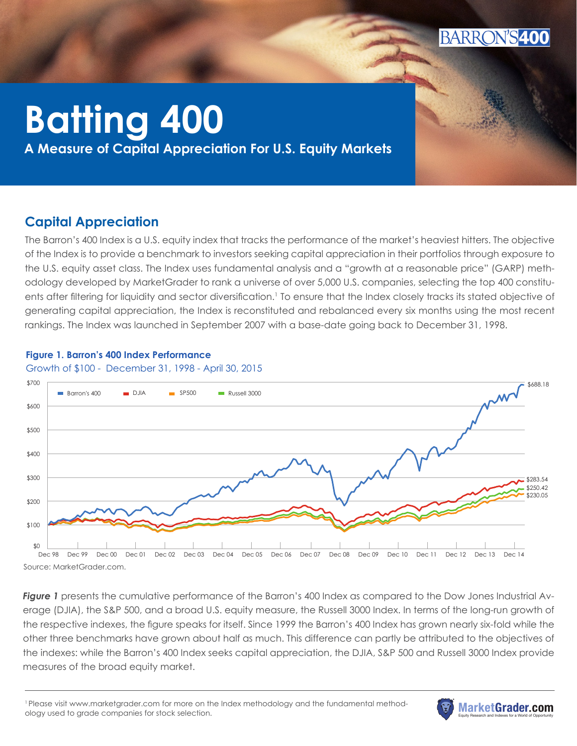

# **Batting 400**

Barron's Capital Annual **A Measure of Capital Appreciation For U.S. Equity Markets**

# **Capital Appreciation**

The Barron's 400 Index is a U.S. equity index that tracks the performance of the market's heaviest hitters. The objective \$250.42 of the Index is to provide a benchmark to investors seeking capital appreciation in their portfolios through exposure to the U.S. equity asset class. The Index uses fundamental analysis and a "growth at a reasonable price" (GARP) methodology developed by MarketGrader to rank a universe of over 5,000 U.S. companies, selecting the top 400 constituents after filtering for liquidity and sector diversification.' To ensure that the Index closely tracks its stated objective of generating capital appreciation, the Index is reconstituted and rebalanced every six months using the most recent rankings. The Index was launched in September 2007 with a base-date going back to December 31, 1998.

#### **Figure 1. Barron's 400 Index Performance**

#### Growth of \$100 - December 31, 1998 - April 30, 2015



Source: MarketGrader.com.

*Figure 1* presents the cumulative performance of the Barron's 400 Index as compared to the Dow Jones Industrial Av-25.0% erage (DJIA), the S&P 500, and a broad U.S. equity measure, the Russell 3000 Index. In terms of the long-run growth of 25% the respective indexes, the figure speaks for itself. Since 1999 the Barron's 400 Index has grown nearly six-fold while the other three benchmarks have grown about half as much. This difference can partly be attributed to the objectives of 16.4% the indexes: while the Barron's 400 Index seeks capital appreciation, the DJIA, S&P 500 and Russell 3000 Index provide measures of the broad equity market.  $\overline{10}$ 

<sup>1</sup> Please visit www.marketgrader.com for more on the Index methodology and the fundamental methodology used to grade companies for stock selection.

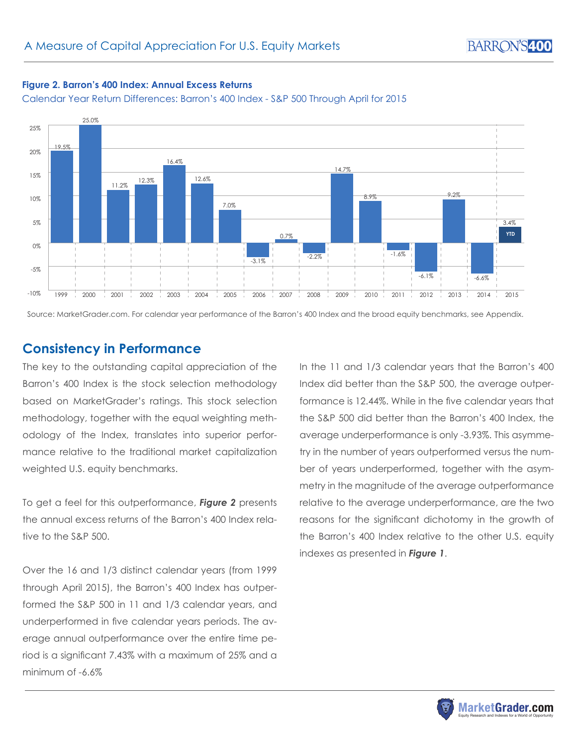#### **Figure 2. Barron's 400 Index: Annual Excess Returns**

Calendar Year Return Differences: Barron's 400 Index - S&P 500 Through April for 2015



Source: MarketGrader.com. For calendar year performance of the Barron's 400 Index and the broad equity benchmarks, see Appendix.

### **Consistency in Performance**

The key to the outstanding capital appreciation of the Barron's 400 Index is the stock selection methodology based on MarketGrader's ratings. This stock selection methodology, together with the equal weighting methodology of the Index, translates into superior performance relative to the traditional market capitalization weighted U.S. equity benchmarks.

To get a feel for this outperformance, *Figure 2* presents the annual excess returns of the Barron's 400 Index relative to the S&P 500.

Over the 16 and 1/3 distinct calendar years (from 1999 through April 2015), the Barron's 400 Index has outperformed the S&P 500 in 11 and 1/3 calendar years, and underperformed in five calendar years periods. The average annual outperformance over the entire time period is a significant 7.43% with a maximum of 25% and a minimum of -6.6%

In the 11 and 1/3 calendar years that the Barron's 400 Index did better than the S&P 500, the average outperformance is 12.44%. While in the five calendar years that the S&P 500 did better than the Barron's 400 Index, the average underperformance is only -3.93%. This asymmetry in the number of years outperformed versus the number of years underperformed, together with the asymmetry in the magnitude of the average outperformance relative to the average underperformance, are the two reasons for the significant dichotomy in the growth of the Barron's 400 Index relative to the other U.S. equity indexes as presented in *Figure 1*.